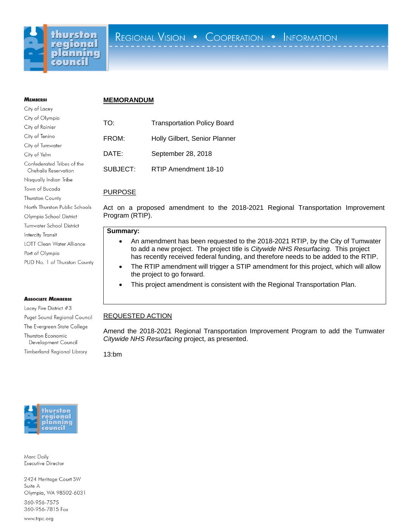

# **MEMBERS:** City of Lacey

City of Olympia City of Rainier City of Tenino City of Tumwater City of Yelm

Confederated Tribes of the Chehalis Reservation Nisqually Indian Tribe Town of Bucoda Thurston County

North Thurston Public Schools Olympia School District Tumwater School District

LOTT Clean Water Alliance

PUD No. 1 of Thurston County

Puget Sound Regional Council The Evergreen State College

**Intercity Transit** 

Port of Olympia

**ASSOCIATE MEMBERS:** Lacey Fire District #3

Thurston Economic Development Council Timberland Regional Library

### **MEMORANDUM**

| TO:      | <b>Transportation Policy Board</b> |
|----------|------------------------------------|
| FROM:    | Holly Gilbert, Senior Planner      |
| DATE:    | September 28, 2018                 |
| SUBJECT: | RTIP Amendment 18-10               |

## PURPOSE

Act on a proposed amendment to the 2018-2021 Regional Transportation Improvement Program (RTIP).

#### **Summary:**

- An amendment has been requested to the 2018-2021 RTIP, by the City of Tumwater to add a new project. The project title is *Citywide NHS Resurfacing.* This project has recently received federal funding, and therefore needs to be added to the RTIP.
- The RTIP amendment will trigger a STIP amendment for this project, which will allow the project to go forward.
- This project amendment is consistent with the Regional Transportation Plan.

# REQUESTED ACTION

Amend the 2018-2021 Regional Transportation Improvement Program to add the Tumwater *Citywide NHS Resurfacing* project, as presented.

13:bm



Marc Daily Executive Director

2424 Heritage Court SW Suite A Olympia, WA 98502-6031

360-956-7575 360-956-7815 Fax

www.trpc.org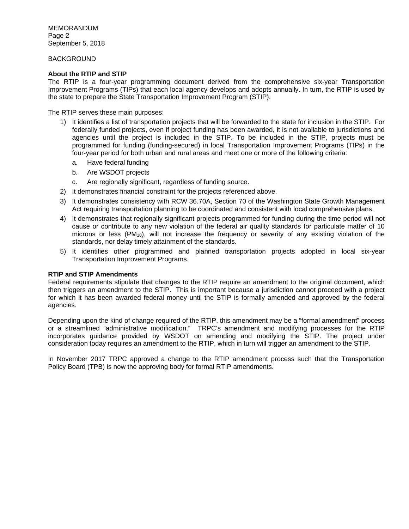MEMORANDUM Page 2 September 5, 2018

### BACKGROUND

### **About the RTIP and STIP**

The RTIP is a four-year programming document derived from the comprehensive six-year Transportation Improvement Programs (TIPs) that each local agency develops and adopts annually. In turn, the RTIP is used by the state to prepare the State Transportation Improvement Program (STIP).

The RTIP serves these main purposes:

- 1) It identifies a list of transportation projects that will be forwarded to the state for inclusion in the STIP. For federally funded projects, even if project funding has been awarded, it is not available to jurisdictions and agencies until the project is included in the STIP. To be included in the STIP, projects must be programmed for funding (funding-secured) in local Transportation Improvement Programs (TIPs) in the four-year period for both urban and rural areas and meet one or more of the following criteria:
	- a. Have federal funding
	- b. Are WSDOT projects
	- c. Are regionally significant, regardless of funding source.
- 2) It demonstrates financial constraint for the projects referenced above.
- 3) It demonstrates consistency with RCW 36.70A, Section 70 of the Washington State Growth Management Act requiring transportation planning to be coordinated and consistent with local comprehensive plans.
- 4) It demonstrates that regionally significant projects programmed for funding during the time period will not cause or contribute to any new violation of the federal air quality standards for particulate matter of 10 microns or less  $(PM_{10})$ , will not increase the frequency or severity of any existing violation of the standards, nor delay timely attainment of the standards.
- 5) It identifies other programmed and planned transportation projects adopted in local six-year Transportation Improvement Programs.

#### **RTIP and STIP Amendments**

Federal requirements stipulate that changes to the RTIP require an amendment to the original document, which then triggers an amendment to the STIP. This is important because a jurisdiction cannot proceed with a project for which it has been awarded federal money until the STIP is formally amended and approved by the federal agencies.

Depending upon the kind of change required of the RTIP, this amendment may be a "formal amendment" process or a streamlined "administrative modification." TRPC's amendment and modifying processes for the RTIP incorporates guidance provided by WSDOT on amending and modifying the STIP. The project under consideration today requires an amendment to the RTIP, which in turn will trigger an amendment to the STIP.

In November 2017 TRPC approved a change to the RTIP amendment process such that the Transportation Policy Board (TPB) is now the approving body for formal RTIP amendments.